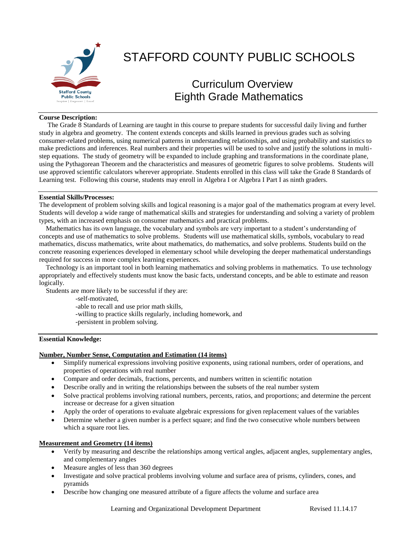

### **Course Description:**

 The Grade 8 Standards of Learning are taught in this course to prepare students for successful daily living and further study in algebra and geometry. The content extends concepts and skills learned in previous grades such as solving consumer-related problems, using numerical patterns in understanding relationships, and using probability and statistics to make predictions and inferences. Real numbers and their properties will be used to solve and justify the solutions in multistep equations. The study of geometry will be expanded to include graphing and transformations in the coordinate plane, using the Pythagorean Theorem and the characteristics and measures of geometric figures to solve problems. Students will use approved scientific calculators wherever appropriate. Students enrolled in this class will take the Grade 8 Standards of Learning test. Following this course, students may enroll in Algebra I or Algebra I Part I as ninth graders.

### **Essential Skills/Processes:**

The development of problem solving skills and logical reasoning is a major goal of the mathematics program at every level. Students will develop a wide range of mathematical skills and strategies for understanding and solving a variety of problem types, with an increased emphasis on consumer mathematics and practical problems.

 Mathematics has its own language, the vocabulary and symbols are very important to a student's understanding of concepts and use of mathematics to solve problems. Students will use mathematical skills, symbols, vocabulary to read mathematics, discuss mathematics, write about mathematics, do mathematics, and solve problems. Students build on the concrete reasoning experiences developed in elementary school while developing the deeper mathematical understandings required for success in more complex learning experiences.

 Technology is an important tool in both learning mathematics and solving problems in mathematics. To use technology appropriately and effectively students must know the basic facts, understand concepts, and be able to estimate and reason logically.

Students are more likely to be successful if they are:

-self-motivated,

-able to recall and use prior math skills,

-willing to practice skills regularly, including homework, and

-persistent in problem solving.

# **Essential Knowledge:**

# **Number, Number Sense, Computation and Estimation (14 items)**

- Simplify numerical expressions involving positive exponents, using rational numbers, order of operations, and properties of operations with real number
- Compare and order decimals, fractions, percents, and numbers written in scientific notation
- Describe orally and in writing the relationships between the subsets of the real number system
- Solve practical problems involving rational numbers, percents, ratios, and proportions; and determine the percent increase or decrease for a given situation
- Apply the order of operations to evaluate algebraic expressions for given replacement values of the variables
- Determine whether a given number is a perfect square; and find the two consecutive whole numbers between which a square root lies.

### **Measurement and Geometry (14 items)**

- Verify by measuring and describe the relationships among vertical angles, adjacent angles, supplementary angles, and complementary angles
- Measure angles of less than 360 degrees
- Investigate and solve practical problems involving volume and surface area of prisms, cylinders, cones, and pyramids
- Describe how changing one measured attribute of a figure affects the volume and surface area